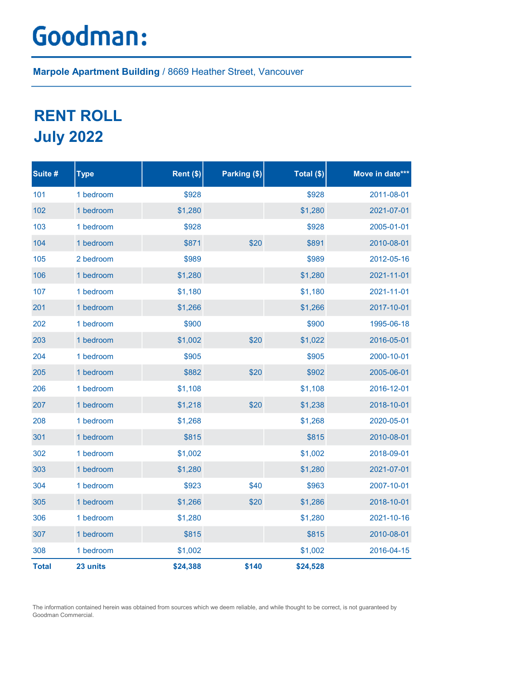## Goodman:

Marpole Apartment Building / 8669 Heather Street, Vancouver

## RENT ROLL July 2022

| Suite #      | <b>Type</b> | Rent $(\$)$ | Parking (\$) | Total (\$) | Move in date*** |
|--------------|-------------|-------------|--------------|------------|-----------------|
| 101          | 1 bedroom   | \$928       |              | \$928      | 2011-08-01      |
| 102          | 1 bedroom   | \$1,280     |              | \$1,280    | 2021-07-01      |
| 103          | 1 bedroom   | \$928       |              | \$928      | 2005-01-01      |
| 104          | 1 bedroom   | \$871       | \$20         | \$891      | 2010-08-01      |
| 105          | 2 bedroom   | \$989       |              | \$989      | 2012-05-16      |
| 106          | 1 bedroom   | \$1,280     |              | \$1,280    | 2021-11-01      |
| 107          | 1 bedroom   | \$1,180     |              | \$1,180    | 2021-11-01      |
| 201          | 1 bedroom   | \$1,266     |              | \$1,266    | 2017-10-01      |
| 202          | 1 bedroom   | \$900       |              | \$900      | 1995-06-18      |
| 203          | 1 bedroom   | \$1,002     | \$20         | \$1,022    | 2016-05-01      |
| 204          | 1 bedroom   | \$905       |              | \$905      | 2000-10-01      |
| 205          | 1 bedroom   | \$882       | \$20         | \$902      | 2005-06-01      |
| 206          | 1 bedroom   | \$1,108     |              | \$1,108    | 2016-12-01      |
| 207          | 1 bedroom   | \$1,218     | \$20         | \$1,238    | 2018-10-01      |
| 208          | 1 bedroom   | \$1,268     |              | \$1,268    | 2020-05-01      |
| 301          | 1 bedroom   | \$815       |              | \$815      | 2010-08-01      |
| 302          | 1 bedroom   | \$1,002     |              | \$1,002    | 2018-09-01      |
| 303          | 1 bedroom   | \$1,280     |              | \$1,280    | 2021-07-01      |
| 304          | 1 bedroom   | \$923       | \$40         | \$963      | 2007-10-01      |
| 305          | 1 bedroom   | \$1,266     | \$20         | \$1,286    | 2018-10-01      |
| 306          | 1 bedroom   | \$1,280     |              | \$1,280    | 2021-10-16      |
| 307          | 1 bedroom   | \$815       |              | \$815      | 2010-08-01      |
| 308          | 1 bedroom   | \$1,002     |              | \$1,002    | 2016-04-15      |
| <b>Total</b> | 23 units    | \$24,388    | \$140        | \$24,528   |                 |

The information contained herein was obtained from sources which we deem reliable, and while thought to be correct, is not guaranteed by Goodman Commercial.